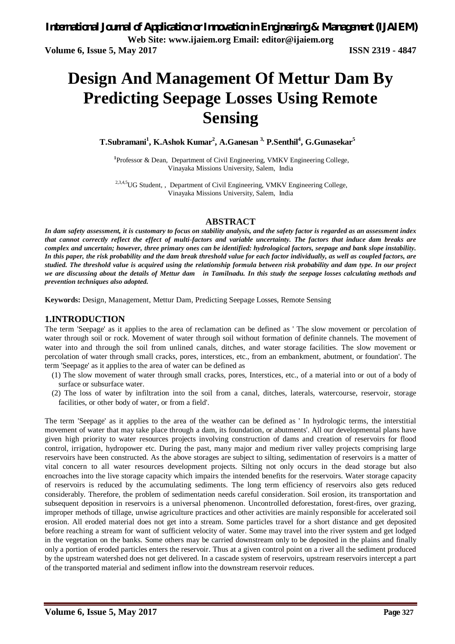# **Design And Management Of Mettur Dam By Predicting Seepage Losses Using Remote Sensing**

**T.Subramani<sup>1</sup> , K.Ashok Kumar<sup>2</sup> , A.Ganesan 3, P.Senthil<sup>4</sup> , G.Gunasekar<sup>5</sup>**

<sup>1</sup>Professor & Dean, Department of Civil Engineering, VMKV Engineering College, Vinayaka Missions University, Salem, India

<sup>2,3,4,5</sup>UG Student,, Department of Civil Engineering, VMKV Engineering College, Vinayaka Missions University, Salem, India

#### **ABSTRACT**

*In dam safety assessment, it is customary to focus on stability analysis, and the safety factor is regarded as an assessment index that cannot correctly reflect the effect of multi-factors and variable uncertainty. The factors that induce dam breaks are complex and uncertain; however, three primary ones can be identified: hydrological factors, seepage and bank slope instability. In this paper, the risk probability and the dam break threshold value for each factor individually, as well as coupled factors, are studied. The threshold value is acquired using the relationship formula between risk probability and dam type. In our project we are discussing about the details of Mettur dam in Tamilnadu. In this study the seepage losses calculating methods and prevention techniques also adopted.*

**Keywords:** Design, Management, Mettur Dam, Predicting Seepage Losses, Remote Sensing

#### **1.INTRODUCTION**

The term 'Seepage' as it applies to the area of reclamation can be defined as ' The slow movement or percolation of water through soil or rock. Movement of water through soil without formation of definite channels. The movement of water into and through the soil from unlined canals, ditches, and water storage facilities. The slow movement or percolation of water through small cracks, pores, interstices, etc., from an embankment, abutment, or foundation'. The term 'Seepage' as it applies to the area of water can be defined as

- (1) The slow movement of water through small cracks, pores, Interstices, etc., of a material into or out of a body of surface or subsurface water.
- (2) The loss of water by infiltration into the soil from a canal, ditches, laterals, watercourse, reservoir, storage facilities, or other body of water, or from a field'.

The term 'Seepage' as it applies to the area of the weather can be defined as ' In hydrologic terms, the interstitial movement of water that may take place through a dam, its foundation, or abutments'. All our developmental plans have given high priority to water resources projects involving construction of dams and creation of reservoirs for flood control, irrigation, hydropower etc. During the past, many major and medium river valley projects comprising large reservoirs have been constructed. As the above storages are subject to silting, sedimentation of reservoirs is a matter of vital concern to all water resources development projects. Silting not only occurs in the dead storage but also encroaches into the live storage capacity which impairs the intended benefits for the reservoirs. Water storage capacity of reservoirs is reduced by the accumulating sediments. The long term efficiency of reservoirs also gets reduced considerably. Therefore, the problem of sedimentation needs careful consideration. Soil erosion, its transportation and subsequent deposition in reservoirs is a universal phenomenon. Uncontrolled deforestation, forest-fires, over grazing, improper methods of tillage, unwise agriculture practices and other activities are mainly responsible for accelerated soil erosion. All eroded material does not get into a stream. Some particles travel for a short distance and get deposited before reaching a stream for want of sufficient velocity of water. Some may travel into the river system and get lodged in the vegetation on the banks. Some others may be carried downstream only to be deposited in the plains and finally only a portion of eroded particles enters the reservoir. Thus at a given control point on a river all the sediment produced by the upstream watershed does not get delivered. In a cascade system of reservoirs, upstream reservoirs intercept a part of the transported material and sediment inflow into the downstream reservoir reduces.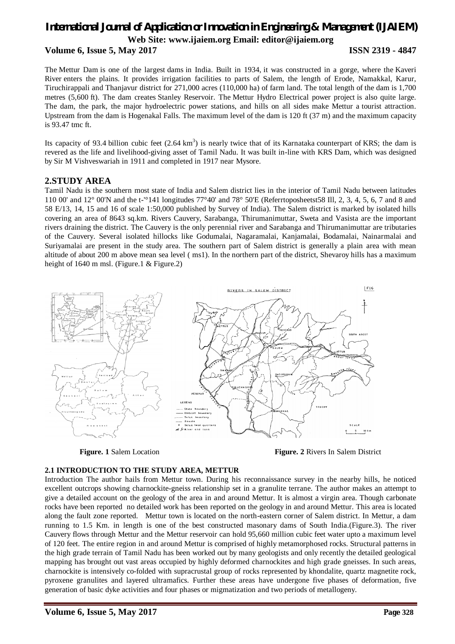## *International Journal of Application or Innovation in Engineering & Management (IJAIEM)* **Web Site: www.ijaiem.org Email: editor@ijaiem.org Volume 6, Issue 5, May 2017 ISSN 2319 - 4847**

The Mettur Dam is one of the largest dams in India. Built in 1934, it was constructed in a gorge, where the Kaveri River enters the plains. It provides irrigation facilities to parts of Salem, the length of Erode, Namakkal, Karur, Tiruchirappali and Thanjavur district for 271,000 acres (110,000 ha) of farm land. The total length of the dam is 1,700 metres (5,600 ft). The dam creates Stanley Reservoir. The Mettur Hydro Electrical power project is also quite large. The dam, the park, the major hydroelectric power stations, and hills on all sides make Mettur a tourist attraction. Upstream from the dam is Hogenakal Falls. The maximum level of the dam is 120 ft (37 m) and the maximum capacity is 93.47 tmc ft.

Its capacity of 93.4 billion cubic feet  $(2.64 \text{ km}^3)$  is nearly twice that of its Karnataka counterpart of KRS; the dam is revered as the life and livelihood-giving asset of Tamil Nadu. It was built in-line with KRS Dam, which was designed by Sir M Vishveswariah in 1911 and completed in 1917 near Mysore.

### **2.STUDY AREA**

Tamil Nadu is the southern most state of India and Salem district lies in the interior of Tamil Nadu between latitudes 110 00' and 12° 00'N and the t-'°141 longitudes 77°40' and 78° 50'E (Referrtoposheetst58 Ill, 2, 3, 4, 5, 6, 7 and 8 and 58 E/13, 14, 15 and 16 of scale 1:50,000 published by Survey of India). The Salem district is marked by isolated hills covering an area of 8643 sq.km. Rivers Cauvery, Sarabanga, Thirumanimuttar, Sweta and Vasista are the important rivers draining the district. The Cauvery is the only perennial river and Sarabanga and Thirumanimuttar are tributaries of the Cauvery. Several isolated hillocks like Godumalai, Nagaramalai, Kanjamalai, Bodamalai, Nainarmalai and Suriyamalai are present in the study area. The southern part of Salem district is generally a plain area with mean altitude of about 200 m above mean sea level ( ms1). In the northern part of the district, Shevaroy hills has a maximum height of 1640 m msl. (Figure.1 & Figure.2)



**Figure. 1** Salem Location **Figure. 2** Rivers In Salem District

#### **2.1 INTRODUCTION TO THE STUDY AREA, METTUR**

Introduction The author hails from Mettur town. During his reconnaissance survey in the nearby hills, he noticed excellent outcrops showing charnockite-gneiss relationship set in a granulite terrane. The author makes an attempt to give a detailed account on the geology of the area in and around Mettur. It is almost a virgin area. Though carbonate rocks have been reported no detailed work has been reported on the geology in and around Mettur. This area is located along the fault zone reported. Mettur town is located on the north-eastern corner of Salem district. In Mettur, a dam running to 1.5 Km. in length is one of the best constructed masonary dams of South India.(Figure.3). The river Cauvery flows through Mettur and the Mettur reservoir can hold 95,660 million cubic feet water upto a maximum level of 120 feet. The entire region in and around Mettur is comprised of highly metamorphosed rocks. Structural patterns in the high grade terrain of Tamil Nadu has been worked out by many geologists and only recently the detailed geological mapping has brought out vast areas occupied by highly deformed charnockites and high grade gneisses. In such areas, charnockite is intensively co-folded with supracrustal group of rocks represented by khondalite, quartz magnetite rock, pyroxene granulites and layered ultramafics. Further these areas have undergone five phases of deformation, five generation of basic dyke activities and four phases or migmatization and two periods of metallogeny.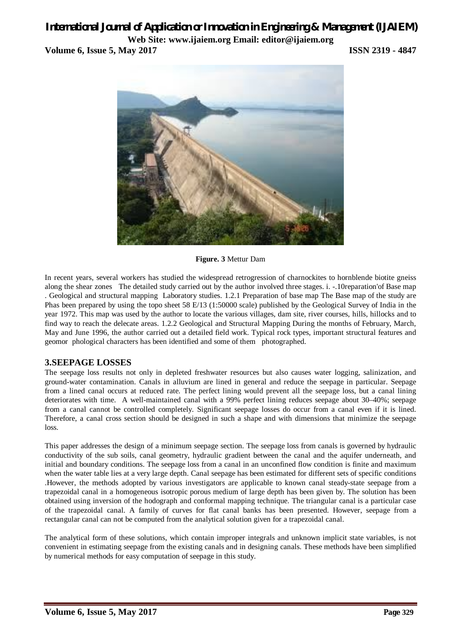## *International Journal of Application or Innovation in Engineering & Management (IJAIEM)* **Web Site: www.ijaiem.org Email: editor@ijaiem.org Volume 6, Issue 5, May 2017 ISSN 2319 - 4847**



**Figure. 3** Mettur Dam

In recent years, several workers has studied the widespread retrogression of charnockites to hornblende biotite gneiss along the shear zones The detailed study carried out by the author involved three stages. i. -.10reparation'of Base map . Geological and structural mapping Laboratory studies. 1.2.1 Preparation of base map The Base map of the study are Phas been prepared by using the topo sheet 58 E/13 (1:50000 scale) published by the Geological Survey of India in the year 1972. This map was used by the author to locate the various villages, dam site, river courses, hills, hillocks and to find way to reach the delecate areas. 1.2.2 Geological and Structural Mapping During the months of February, March, May and June 1996, the author carried out a detailed field work. Typical rock types, important structural features and geomor phological characters has been identified and some of them photographed.

### **3.SEEPAGE LOSSES**

The seepage loss results not only in depleted freshwater resources but also causes water logging, salinization, and ground-water contamination. Canals in alluvium are lined in general and reduce the seepage in particular. Seepage from a lined canal occurs at reduced rate. The perfect lining would prevent all the seepage loss, but a canal lining deteriorates with time. A well-maintained canal with a 99% perfect lining reduces seepage about 30–40%; seepage from a canal cannot be controlled completely. Significant seepage losses do occur from a canal even if it is lined. Therefore, a canal cross section should be designed in such a shape and with dimensions that minimize the seepage loss.

This paper addresses the design of a minimum seepage section. The seepage loss from canals is governed by hydraulic conductivity of the sub soils, canal geometry, hydraulic gradient between the canal and the aquifer underneath, and initial and boundary conditions. The seepage loss from a canal in an unconfined flow condition is finite and maximum when the water table lies at a very large depth. Canal seepage has been estimated for different sets of specific conditions .However, the methods adopted by various investigators are applicable to known canal steady-state seepage from a trapezoidal canal in a homogeneous isotropic porous medium of large depth has been given by. The solution has been obtained using inversion of the hodograph and conformal mapping technique. The triangular canal is a particular case of the trapezoidal canal. A family of curves for flat canal banks has been presented. However, seepage from a rectangular canal can not be computed from the analytical solution given for a trapezoidal canal.

The analytical form of these solutions, which contain improper integrals and unknown implicit state variables, is not convenient in estimating seepage from the existing canals and in designing canals. These methods have been simplified by numerical methods for easy computation of seepage in this study.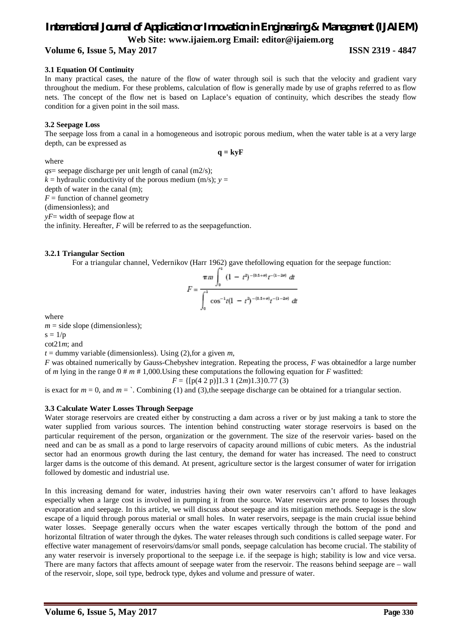### **Volume 6, Issue 5, May 2017 ISSN 2319 - 4847**

#### **3.1 Equation Of Continuity**

In many practical cases, the nature of the flow of water through soil is such that the velocity and gradient vary throughout the medium. For these problems, calculation of flow is generally made by use of graphs referred to as flow nets. The concept of the flow net is based on Laplace's equation of continuity, which describes the steady flow condition for a given point in the soil mass.

#### **3.2 Seepage Loss**

The seepage loss from a canal in a homogeneous and isotropic porous medium, when the water table is at a very large depth, can be expressed as

 $q = kvF$ 

where

*qs*= seepage discharge per unit length of canal (m2/s);  $k =$  hydraulic conductivity of the porous medium (m/s);  $y =$ 

depth of water in the canal (m);

 $F =$  function of channel geometry

(dimensionless); and

*yF*= width of seepage flow at

the infinity. Hereafter, *F* will be referred to as the seepagefunction.

#### **3.2.1 Triangular Section**

For a triangular channel, Vedernikov (Harr 1962) gave thefollowing equation for the seepage function:

$$
F = \frac{\pi m \int_0^1 (1 - t^2)^{-(0.5 + \sigma)} t^{-(1 - 2\sigma)} dt}{\int_0^1 \cos^{-1} t (1 - t^2)^{-(0.5 + \sigma)} t^{-(1 - 2\sigma)} dt}
$$

where

 $m =$  side slope (dimensionless);

 $s = 1/p$ 

cot21*m*; and

 $t =$  dummy variable (dimensionless). Using (2), for a given  $m$ ,

*F* was obtained numerically by Gauss-Chebyshev integration. Repeating the process, *F* was obtainedfor a large number of *m* lying in the range 0 # *m* # 1,000.Using these computations the following equation for *F* wasfitted:

$$
F = \{ [p(4\ 2\ p)]1.3\ 1\ (2m)1.3\}0.77\ (3)
$$

is exact for  $m = 0$ , and  $m =$   $\therefore$  Combining (1) and (3),the seepage discharge can be obtained for a triangular section.

#### **3.3 Calculate Water Losses Through Seepage**

Water storage reservoirs are created either by constructing a dam across a river or by just making a tank to store the water supplied from various sources. The intention behind constructing water storage reservoirs is based on the particular requirement of the person, organization or the government. The size of the reservoir varies- based on the need and can be as small as a pond to large reservoirs of capacity around millions of cubic meters. As the industrial sector had an enormous growth during the last century, the demand for water has increased. The need to construct larger dams is the outcome of this demand. At present, agriculture sector is the largest consumer of water for irrigation followed by domestic and industrial use.

In this increasing demand for water, industries having their own water reservoirs can't afford to have leakages especially when a large cost is involved in pumping it from the source. Water reservoirs are prone to losses through evaporation and seepage. In this article, we will discuss about seepage and its mitigation methods. Seepage is the slow escape of a liquid through porous material or small holes. In water reservoirs, seepage is the main crucial issue behind water losses. Seepage generally occurs when the water escapes vertically through the bottom of the pond and horizontal filtration of water through the dykes. The water releases through such conditions is called seepage water. For effective water management of reservoirs/dams/or small ponds, seepage calculation has become crucial. The stability of any water reservoir is inversely proportional to the seepage i.e. if the seepage is high; stability is low and vice versa. There are many factors that affects amount of seepage water from the reservoir. The reasons behind seepage are – wall of the reservoir, slope, soil type, bedrock type, dykes and volume and pressure of water.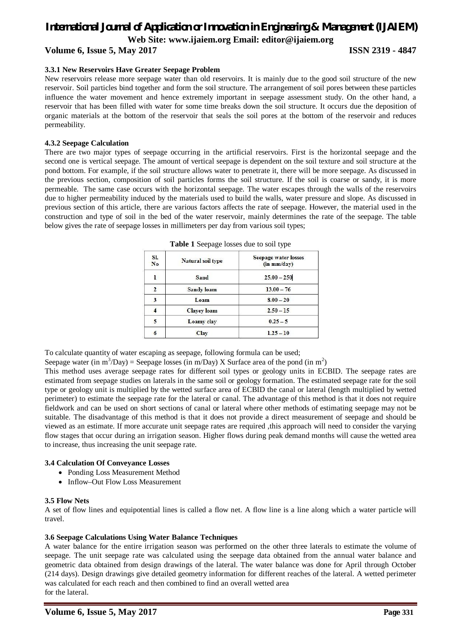## *International Journal of Application or Innovation in Engineering & Management (IJAIEM)*

**Web Site: www.ijaiem.org Email: editor@ijaiem.org**

**Volume 6, Issue 5, May 2017 ISSN 2319 - 4847**

#### **3.3.1 New Reservoirs Have Greater Seepage Problem**

New reservoirs release more seepage water than old reservoirs. It is mainly due to the good soil structure of the new reservoir. Soil particles bind together and form the soil structure. The arrangement of soil pores between these particles influence the water movement and hence extremely important in seepage assessment study. On the other hand, a reservoir that has been filled with water for some time breaks down the soil structure. It occurs due the deposition of organic materials at the bottom of the reservoir that seals the soil pores at the bottom of the reservoir and reduces permeability.

#### **4.3.2 Seepage Calculation**

There are two major types of seepage occurring in the artificial reservoirs. First is the horizontal seepage and the second one is vertical seepage. The amount of vertical seepage is dependent on the soil texture and soil structure at the pond bottom. For example, if the soil structure allows water to penetrate it, there will be more seepage. As discussed in the previous section, composition of soil particles forms the soil structure. If the soil is coarse or sandy, it is more permeable. The same case occurs with the horizontal seepage. The water escapes through the walls of the reservoirs due to higher permeability induced by the materials used to build the walls, water pressure and slope. As discussed in previous section of this article, there are various factors affects the rate of seepage. However, the material used in the construction and type of soil in the bed of the water reservoir, mainly determines the rate of the seepage. The table below gives the rate of seepage losses in millimeters per day from various soil types;

| SI.<br>No | Natural soil type  | Seepage water losses<br>$(in \, mm/day)$ |
|-----------|--------------------|------------------------------------------|
|           | Sand               | $25.00 - 250$                            |
|           | Sandy loam         | $13.00 - 76$                             |
| 3         | Loam               | $8.00 - 20$                              |
|           | <b>Clayey</b> loam | $2.50 - 15$                              |
| 5         | Loamy clay         | $0.25 - 5$                               |
| 6         | <b>Clay</b>        | $1.25 - 10$                              |

**Table 1** Seepage losses due to soil type

To calculate quantity of water escaping as seepage, following formula can be used;

Seepage water (in m<sup>3</sup>/Day) = Seepage losses (in m/Day) X Surface area of the pond (in m<sup>2</sup>)

This method uses average seepage rates for different soil types or geology units in ECBID. The seepage rates are estimated from seepage studies on laterals in the same soil or geology formation. The estimated seepage rate for the soil type or geology unit is multiplied by the wetted surface area of ECBID the canal or lateral (length multiplied by wetted perimeter) to estimate the seepage rate for the lateral or canal. The advantage of this method is that it does not require fieldwork and can be used on short sections of canal or lateral where other methods of estimating seepage may not be suitable. The disadvantage of this method is that it does not provide a direct measurement of seepage and should be viewed as an estimate. If more accurate unit seepage rates are required ,this approach will need to consider the varying flow stages that occur during an irrigation season. Higher flows during peak demand months will cause the wetted area to increase, thus increasing the unit seepage rate.

#### **3.4 Calculation Of Conveyance Losses**

- Ponding Loss Measurement Method
- Inflow–Out Flow Loss Measurement

#### **3.5 Flow Nets**

A set of flow lines and equipotential lines is called a flow net. A flow line is a line along which a water particle will travel.

#### **3.6 Seepage Calculations Using Water Balance Techniques**

A water balance for the entire irrigation season was performed on the other three laterals to estimate the volume of seepage. The unit seepage rate was calculated using the seepage data obtained from the annual water balance and geometric data obtained from design drawings of the lateral. The water balance was done for April through October (214 days). Design drawings give detailed geometry information for different reaches of the lateral. A wetted perimeter was calculated for each reach and then combined to find an overall wetted area for the lateral.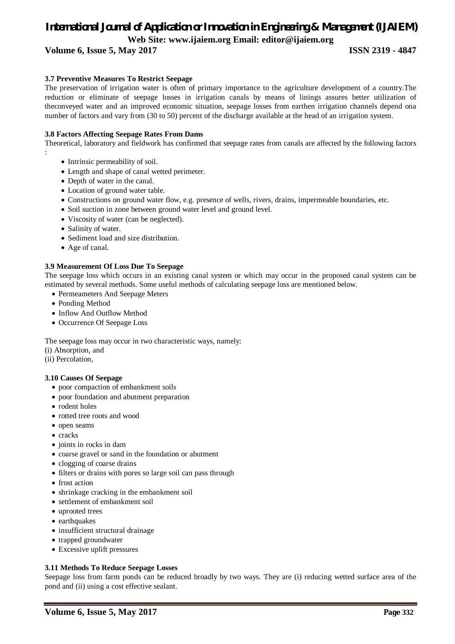**Volume 6, Issue 5, May 2017 ISSN 2319 - 4847**

#### **3.7 Preventive Measures To Restrict Seepage**

The preservation of irrigation water is often of primary importance to the agriculture development of a country.The reduction or eliminate of seepage losses in irrigation canals by means of linings assures better utilization of theconveyed water and an improved economic situation, seepage losses from earthen irrigation channels depend ona number of factors and vary from (30 to 50) percent of the discharge available at the head of an irrigation system.

#### **3.8 Factors Affecting Seepage Rates From Dams**

Theoretical, laboratory and fieldwork has confirmed that seepage rates from canals are affected by the following factors

- Intrinsic permeability of soil.
- Length and shape of canal wetted perimeter.
- Depth of water in the canal.
- Location of ground water table.
- Constructions on ground water flow, e.g. presence of wells, rivers, drains, impermeable boundaries, etc.
- Soil suction in zone between ground water level and ground level.
- Viscosity of water (can be neglected).
- Salinity of water.
- Sediment load and size distribution.
- Age of canal.

:

#### **3.9 Measurement Of Loss Due To Seepage**

The seepage loss which occurs in an existing canal system or which may occur in the proposed canal system can be estimated by several methods. Some useful methods of calculating seepage loss are mentioned below.

- Permeameters And Seepage Meters
- Ponding Method
- Inflow And Outflow Method
- Occurrence Of Seepage Loss

The seepage loss may occur in two characteristic ways, namely:

(i) Absorption, and

(ii) Percolation,

#### **3.10 Causes Of Seepage**

- poor compaction of embankment soils
- poor foundation and abutment preparation
- rodent holes
- rotted tree roots and wood
- open seams
- cracks
- joints in rocks in dam
- coarse gravel or sand in the foundation or abutment
- clogging of coarse drains
- filters or drains with pores so large soil can pass through
- frost action
- shrinkage cracking in the embankment soil
- settlement of embankment soil
- uprooted trees
- earthquakes
- insufficient structural drainage
- trapped groundwater
- Excessive uplift pressures

#### **3.11 Methods To Reduce Seepage Losses**

Seepage loss from farm ponds can be reduced broadly by two ways. They are (i) reducing wetted surface area of the pond and (ii) using a cost effective sealant.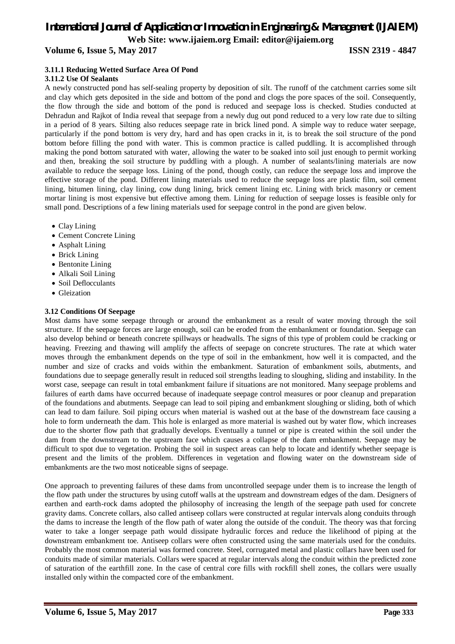**Volume 6, Issue 5, May 2017 ISSN 2319 - 4847**

#### **3.11.1 Reducing Wetted Surface Area Of Pond**

#### **3.11.2 Use Of Sealants**

A newly constructed pond has self-sealing property by deposition of silt. The runoff of the catchment carries some silt and clay which gets deposited in the side and bottom of the pond and clogs the pore spaces of the soil. Consequently, the flow through the side and bottom of the pond is reduced and seepage loss is checked. Studies conducted at Dehradun and Rajkot of India reveal that seepage from a newly dug out pond reduced to a very low rate due to silting in a period of 8 years. Silting also reduces seepage rate in brick lined pond. A simple way to reduce water seepage, particularly if the pond bottom is very dry, hard and has open cracks in it, is to break the soil structure of the pond bottom before filling the pond with water. This is common practice is called puddling. It is accomplished through making the pond bottom saturated with water, allowing the water to be soaked into soil just enough to permit working and then, breaking the soil structure by puddling with a plough. A number of sealants/lining materials are now available to reduce the seepage loss. Lining of the pond, though costly, can reduce the seepage loss and improve the effective storage of the pond. Different lining materials used to reduce the seepage loss are plastic film, soil cement lining, bitumen lining, clay lining, cow dung lining, brick cement lining etc. Lining with brick masonry or cement mortar lining is most expensive but effective among them. Lining for reduction of seepage losses is feasible only for small pond. Descriptions of a few lining materials used for seepage control in the pond are given below.

- Clay Lining
- Cement Concrete Lining
- Asphalt Lining
- Brick Lining
- Bentonite Lining
- Alkali Soil Lining
- Soil Deflocculants
- Gleization

#### **3.12 Conditions Of Seepage**

Most dams have some seepage through or around the embankment as a result of water moving through the soil structure. If the seepage forces are large enough, soil can be eroded from the embankment or foundation. Seepage can also develop behind or beneath concrete spillways or headwalls. The signs of this type of problem could be cracking or heaving. Freezing and thawing will amplify the affects of seepage on concrete structures. The rate at which water moves through the embankment depends on the type of soil in the embankment, how well it is compacted, and the number and size of cracks and voids within the embankment. Saturation of embankment soils, abutments, and foundations due to seepage generally result in reduced soil strengths leading to sloughing, sliding and instability. In the worst case, seepage can result in total embankment failure if situations are not monitored. Many seepage problems and failures of earth dams have occurred because of inadequate seepage control measures or poor cleanup and preparation of the foundations and abutments. Seepage can lead to soil piping and embankment sloughing or sliding, both of which can lead to dam failure. Soil piping occurs when material is washed out at the base of the downstream face causing a hole to form underneath the dam. This hole is enlarged as more material is washed out by water flow, which increases due to the shorter flow path that gradually develops. Eventually a tunnel or pipe is created within the soil under the dam from the downstream to the upstream face which causes a collapse of the dam embankment. Seepage may be difficult to spot due to vegetation. Probing the soil in suspect areas can help to locate and identify whether seepage is present and the limits of the problem. Differences in vegetation and flowing water on the downstream side of embankments are the two most noticeable signs of seepage.

One approach to preventing failures of these dams from uncontrolled seepage under them is to increase the length of the flow path under the structures by using cutoff walls at the upstream and downstream edges of the dam. Designers of earthen and earth-rock dams adopted the philosophy of increasing the length of the seepage path used for concrete gravity dams. Concrete collars, also called antiseep collars were constructed at regular intervals along conduits through the dams to increase the length of the flow path of water along the outside of the conduit. The theory was that forcing water to take a longer seepage path would dissipate hydraulic forces and reduce the likelihood of piping at the downstream embankment toe. Antiseep collars were often constructed using the same materials used for the conduits. Probably the most common material was formed concrete. Steel, corrugated metal and plastic collars have been used for conduits made of similar materials. Collars were spaced at regular intervals along the conduit within the predicted zone of saturation of the earthfill zone. In the case of central core fills with rockfill shell zones, the collars were usually installed only within the compacted core of the embankment.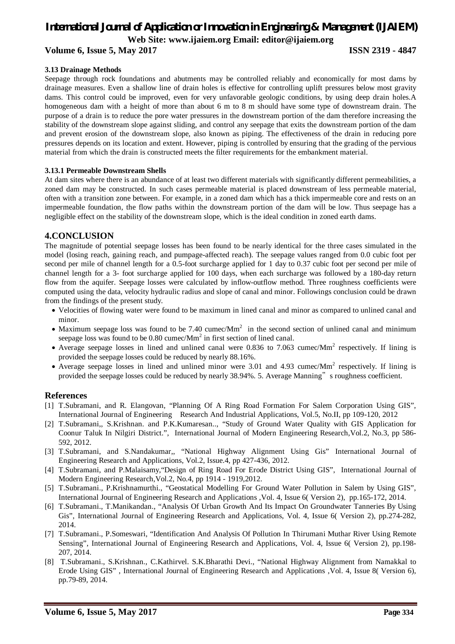**Volume 6, Issue 5, May 2017 ISSN 2319 - 4847**

#### **3.13 Drainage Methods**

Seepage through rock foundations and abutments may be controlled reliably and economically for most dams by drainage measures. Even a shallow line of drain holes is effective for controlling uplift pressures below most gravity dams. This control could be improved, even for very unfavorable geologic conditions, by using deep drain holes.A homogeneous dam with a height of more than about 6 m to 8 m should have some type of downstream drain. The purpose of a drain is to reduce the pore water pressures in the downstream portion of the dam therefore increasing the stability of the downstream slope against sliding, and control any seepage that exits the downstream portion of the dam and prevent erosion of the downstream slope, also known as piping. The effectiveness of the drain in reducing pore pressures depends on its location and extent. However, piping is controlled by ensuring that the grading of the pervious material from which the drain is constructed meets the filter requirements for the embankment material.

#### **3.13.1 Permeable Downstream Shells**

At dam sites where there is an abundance of at least two different materials with significantly different permeabilities, a zoned dam may be constructed. In such cases permeable material is placed downstream of less permeable material, often with a transition zone between. For example, in a zoned dam which has a thick impermeable core and rests on an impermeable foundation, the flow paths within the downstream portion of the dam will be low. Thus seepage has a negligible effect on the stability of the downstream slope, which is the ideal condition in zoned earth dams.

#### **4.CONCLUSION**

The magnitude of potential seepage losses has been found to be nearly identical for the three cases simulated in the model (losing reach, gaining reach, and pumpage-affected reach). The seepage values ranged from 0.0 cubic foot per second per mile of channel length for a 0.5-foot surcharge applied for 1 day to 0.37 cubic foot per second per mile of channel length for a 3- foot surcharge applied for 100 days, when each surcharge was followed by a 180-day return flow from the aquifer. Seepage losses were calculated by inflow-outflow method. Three roughness coefficients were computed using the data, velocity hydraulic radius and slope of canal and minor. Followings conclusion could be drawn from the findings of the present study.

- Velocities of flowing water were found to be maximum in lined canal and minor as compared to unlined canal and minor.
- Maximum seepage loss was found to be 7.40 cumec/ $Mm<sup>2</sup>$  in the second section of unlined canal and minimum seepage loss was found to be  $0.80$  cumec/Mm<sup>2</sup> in first section of lined canal.
- Average seepage losses in lined and unlined canal were 0.836 to 7.063 cumec/ $Mm<sup>2</sup>$  respectively. If lining is provided the seepage losses could be reduced by nearly 88.16%.
- Average seepage losses in lined and unlined minor were  $3.01$  and  $4.93$  cumec/Mm<sup>2</sup> respectively. If lining is provided the seepage losses could be reduced by nearly 38.94%. 5. Average Manning" s roughness coefficient.

#### **References**

- [1] T.Subramani, and R. Elangovan, "Planning Of A Ring Road Formation For Salem Corporation Using GIS", International Journal of Engineering Research And Industrial Applications, Vol.5, No.II, pp 109-120, 2012
- [2] T.Subramani,, S.Krishnan. and P.K.Kumaresan.., "Study of Ground Water Quality with GIS Application for Coonur Taluk In Nilgiri District.", International Journal of Modern Engineering Research,Vol.2, No.3, pp 586- 592, 2012.
- [3] T.Subramani, and S.Nandakumar,, "National Highway Alignment Using Gis" International Journal of Engineering Research and Applications, Vol.2, Issue.4, pp 427-436, 2012.
- [4] T.Subramani, and P.Malaisamy,"Design of Ring Road For Erode District Using GIS", International Journal of Modern Engineering Research,Vol.2, No.4, pp 1914 - 1919,2012.
- [5] T.Subramani., P.Krishnamurthi., "Geostatical Modelling For Ground Water Pollution in Salem by Using GIS", International Journal of Engineering Research and Applications ,Vol. 4, Issue 6( Version 2), pp.165-172, 2014.
- [6] T.Subramani., T.Manikandan., "Analysis Of Urban Growth And Its Impact On Groundwater Tanneries By Using Gis", International Journal of Engineering Research and Applications, Vol. 4, Issue 6( Version 2), pp.274-282, 2014.
- [7] T.Subramani., P.Someswari, "Identification And Analysis Of Pollution In Thirumani Muthar River Using Remote Sensing", International Journal of Engineering Research and Applications, Vol. 4, Issue 6( Version 2), pp.198- 207, 2014.
- [8] T.Subramani., S.Krishnan., C.Kathirvel. S.K.Bharathi Devi., "National Highway Alignment from Namakkal to Erode Using GIS" , International Journal of Engineering Research and Applications ,Vol. 4, Issue 8( Version 6), pp.79-89, 2014.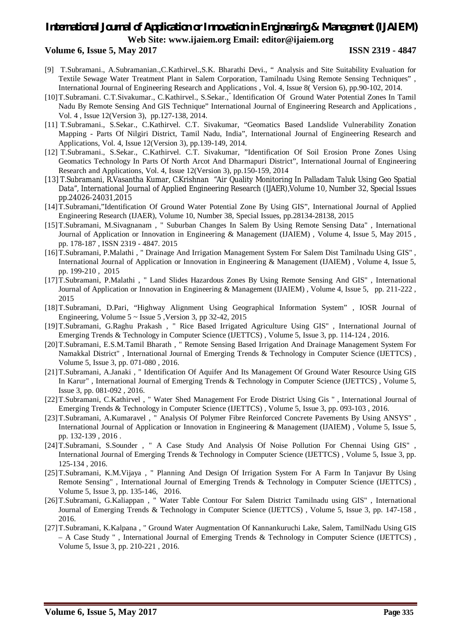#### **Volume 6, Issue 5, May 2017 ISSN 2319 - 4847**

- [9] T.Subramani., A.Subramanian.,C.Kathirvel.,S.K. Bharathi Devi., " Analysis and Site Suitability Evaluation for Textile Sewage Water Treatment Plant in Salem Corporation, Tamilnadu Using Remote Sensing Techniques" , International Journal of Engineering Research and Applications , Vol. 4, Issue 8( Version 6), pp.90-102, 2014.
- [10]T.Subramani. C.T.Sivakumar., C.Kathirvel., S.Sekar.," Identification Of Ground Water Potential Zones In Tamil Nadu By Remote Sensing And GIS Technique" International Journal of Engineering Research and Applications , Vol. 4 , Issue 12(Version 3), pp.127-138, 2014.
- [11] T.Subramani., S.Sekar., C.Kathirvel. C.T. Sivakumar, "Geomatics Based Landslide Vulnerability Zonation Mapping - Parts Of Nilgiri District, Tamil Nadu, India", International Journal of Engineering Research and Applications, Vol. 4, Issue 12(Version 3), pp.139-149, 2014.
- [12] T.Subramani., S.Sekar., C.Kathirvel. C.T. Sivakumar, "Identification Of Soil Erosion Prone Zones Using Geomatics Technology In Parts Of North Arcot And Dharmapuri District", International Journal of Engineering Research and Applications, Vol. 4, Issue 12(Version 3), pp.150-159, 2014
- [13] T.Subramani, R.Vasantha Kumar, C.Krishnan "Air Quality Monitoring In Palladam Taluk Using Geo Spatial Data", International Journal of Applied Engineering Research (IJAER),Volume 10, Number 32, Special Issues pp.24026-24031,2015
- [14]T.Subramani,"Identification Of Ground Water Potential Zone By Using GIS", International Journal of Applied Engineering Research (IJAER), Volume 10, Number 38, Special Issues, pp.28134-28138, 2015
- [15]T.Subramani, M.Sivagnanam , " Suburban Changes In Salem By Using Remote Sensing Data" , International Journal of Application or Innovation in Engineering & Management (IJAIEM) , Volume 4, Issue 5, May 2015 , pp. 178-187 , ISSN 2319 - 4847. 2015
- [16]T.Subramani, P.Malathi , " Drainage And Irrigation Management System For Salem Dist Tamilnadu Using GIS" , International Journal of Application or Innovation in Engineering & Management (IJAIEM) , Volume 4, Issue 5, pp. 199-210 , 2015
- [17]T.Subramani, P.Malathi , " Land Slides Hazardous Zones By Using Remote Sensing And GIS" , International Journal of Application or Innovation in Engineering & Management (IJAIEM) , Volume 4, Issue 5, pp. 211-222 , 2015
- [18]T.Subramani, D.Pari, "Highway Alignment Using Geographical Information System" , IOSR Journal of Engineering, Volume  $5 \sim$  Issue 5, Version 3, pp 32-42, 2015
- [19]T.Subramani, G.Raghu Prakash , " Rice Based Irrigated Agriculture Using GIS" , International Journal of Emerging Trends & Technology in Computer Science (IJETTCS) , Volume 5, Issue 3, pp. 114-124 , 2016.
- [20]T.Subramani, E.S.M.Tamil Bharath , " Remote Sensing Based Irrigation And Drainage Management System For Namakkal District" , International Journal of Emerging Trends & Technology in Computer Science (IJETTCS) , Volume 5, Issue 3, pp. 071-080 , 2016.
- [21]T.Subramani, A.Janaki , " Identification Of Aquifer And Its Management Of Ground Water Resource Using GIS In Karur" , International Journal of Emerging Trends & Technology in Computer Science (IJETTCS) , Volume 5, Issue 3, pp. 081-092 , 2016.
- [22]T.Subramani, C.Kathirvel , " Water Shed Management For Erode District Using Gis " , International Journal of Emerging Trends & Technology in Computer Science (IJETTCS) , Volume 5, Issue 3, pp. 093-103 , 2016.
- [23]T.Subramani, A.Kumaravel , " Analysis Of Polymer Fibre Reinforced Concrete Pavements By Using ANSYS" , International Journal of Application or Innovation in Engineering & Management (IJAIEM) , Volume 5, Issue 5, pp. 132-139 , 2016 .
- [24]T.Subramani, S.Sounder , " A Case Study And Analysis Of Noise Pollution For Chennai Using GIS" , International Journal of Emerging Trends & Technology in Computer Science (IJETTCS) , Volume 5, Issue 3, pp. 125-134 , 2016.
- [25]T.Subramani, K.M.Vijaya , " Planning And Design Of Irrigation System For A Farm In Tanjavur By Using Remote Sensing", International Journal of Emerging Trends & Technology in Computer Science (IJETTCS), Volume 5, Issue 3, pp. 135-146, 2016.
- [26]T.Subramani, G.Kaliappan , " Water Table Contour For Salem District Tamilnadu using GIS" , International Journal of Emerging Trends & Technology in Computer Science (IJETTCS) , Volume 5, Issue 3, pp. 147-158 , 2016.
- [27]T.Subramani, K.Kalpana , " Ground Water Augmentation Of Kannankuruchi Lake, Salem, TamilNadu Using GIS – A Case Study " , International Journal of Emerging Trends & Technology in Computer Science (IJETTCS) , Volume 5, Issue 3, pp. 210-221 , 2016.